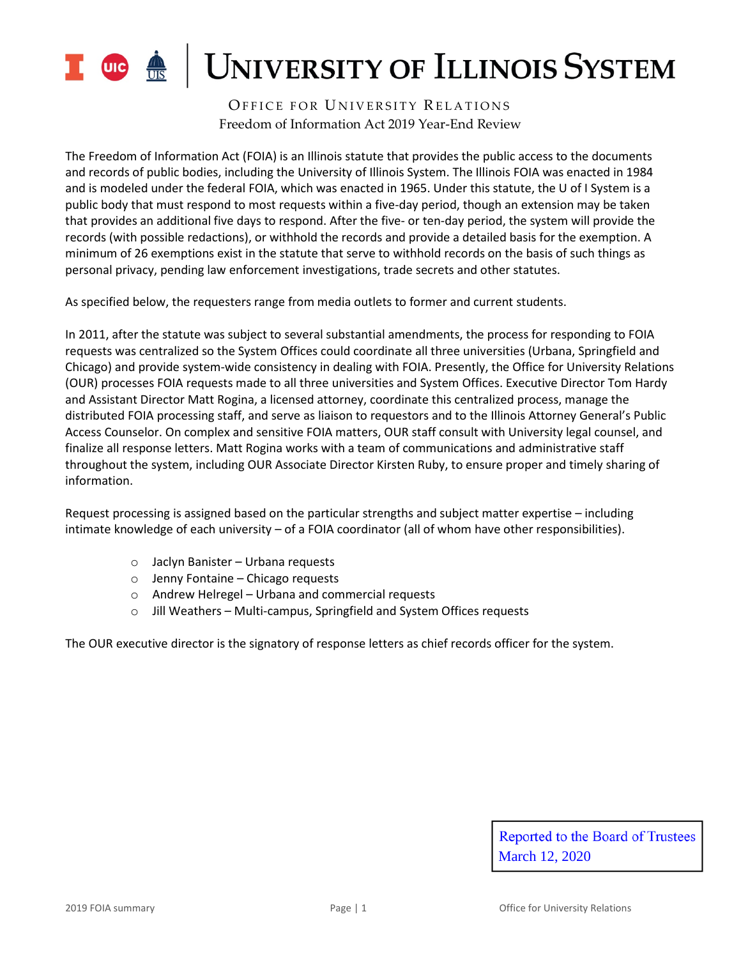

OFFICE FOR UNIVERSITY RELATIONS Freedom of Information Act 2019 Year-End Review

The Freedom of Information Act (FOIA) is an Illinois statute that provides the public access to the documents and records of public bodies, including the University of Illinois System. The Illinois FOIA was enacted in 1984 and is modeled under the federal FOIA, which was enacted in 1965. Under this statute, the U of I System is a public body that must respond to most requests within a five-day period, though an extension may be taken that provides an additional five days to respond. After the five- or ten-day period, the system will provide the records (with possible redactions), or withhold the records and provide a detailed basis for the exemption. A minimum of 26 exemptions exist in the statute that serve to withhold records on the basis of such things as personal privacy, pending law enforcement investigations, trade secrets and other statutes.

As specified below, the requesters range from media outlets to former and current students.

In 2011, after the statute was subject to several substantial amendments, the process for responding to FOIA requests was centralized so the System Offices could coordinate all three universities (Urbana, Springfield and Chicago) and provide system-wide consistency in dealing with FOIA. Presently, the Office for University Relations (OUR) processes FOIA requests made to all three universities and System Offices. Executive Director Tom Hardy and Assistant Director Matt Rogina, a licensed attorney, coordinate this centralized process, manage the distributed FOIA processing staff, and serve as liaison to requestors and to the Illinois Attorney General's Public Access Counselor. On complex and sensitive FOIA matters, OUR staff consult with University legal counsel, and finalize all response letters. Matt Rogina works with a team of communications and administrative staff throughout the system, including OUR Associate Director Kirsten Ruby, to ensure proper and timely sharing of information.

Request processing is assigned based on the particular strengths and subject matter expertise – including intimate knowledge of each university – of a FOIA coordinator (all of whom have other responsibilities).

- o Jaclyn Banister Urbana requests
- o Jenny Fontaine Chicago requests
- o Andrew Helregel Urbana and commercial requests
- o Jill Weathers Multi-campus, Springfield and System Offices requests

The OUR executive director is the signatory of response letters as chief records officer for the system.

Reported to the Board of Trustees March 12, 2020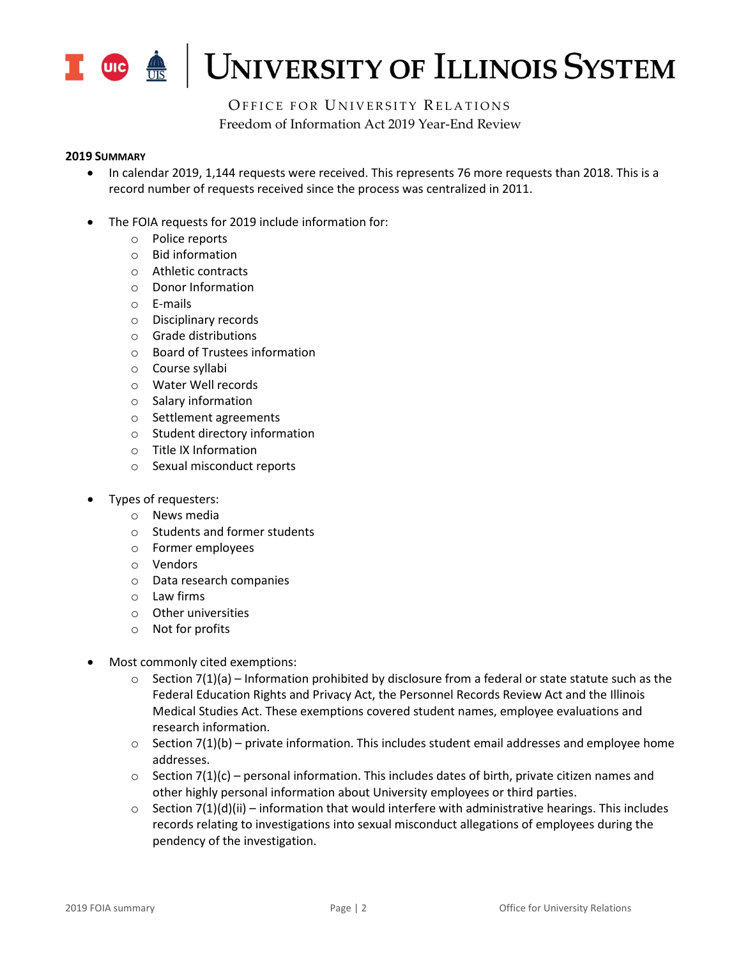

OFFICE FOR UNIVERSITY RELATIONS Freedom of Information Act 2019 Year-End Review

#### **2019 SUMMARY**

- In calendar 2019, 1,144 requests were received. This represents 76 more requests than 2018. This is a record number of requests received since the process was centralized in 2011.
- The FOIA requests for 2019 include information for:
	- o Police reports
	- o Bid information
	- o Athletic contracts
	- o Donor Information
	- o E-mails
	- o Disciplinary records
	- o Grade distributions
	- o Board of Trustees information
	- o Course syllabi
	- o Water Well records
	- o Salary information
	- o Settlement agreements
	- o Student directory information
	- o Title IX Information
	- o Sexual misconduct reports
- Types of requesters:
	- o News media
	- o Students and former students
	- o Former employees
	- o Vendors
	- o Data research companies
	- o Law firms
	- o Other universities
	- o Not for profits
- Most commonly cited exemptions:
	- $\circ$  Section 7(1)(a) Information prohibited by disclosure from a federal or state statute such as the Federal Education Rights and Privacy Act, the Personnel Records Review Act and the Illinois Medical Studies Act. These exemptions covered student names, employee evaluations and research information.
	- $\circ$  Section 7(1)(b) private information. This includes student email addresses and employee home addresses.
	- $\circ$  Section 7(1)(c) personal information. This includes dates of birth, private citizen names and other highly personal information about University employees or third parties.
	- $\circ$  Section 7(1)(d)(ii) information that would interfere with administrative hearings. This includes records relating to investigations into sexual misconduct allegations of employees during the pendency of the investigation.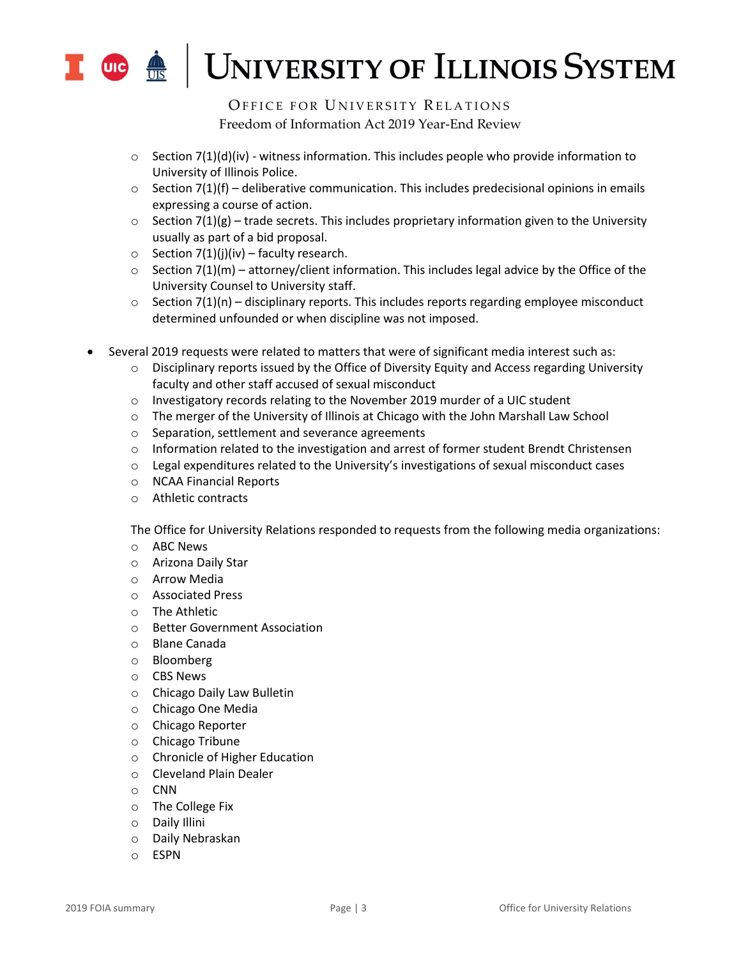

OFFICE FOR UNIVERSITY RELATIONS Freedom of Information Act 2019 Year-End Review

- $\circ$  Section 7(1)(d)(iv) witness information. This includes people who provide information to University of Illinois Police.
- $\circ$  Section 7(1)(f) deliberative communication. This includes predecisional opinions in emails expressing a course of action.
- $\circ$  Section 7(1)(g) trade secrets. This includes proprietary information given to the University usually as part of a bid proposal.
- $\circ$  Section 7(1)(j)(iv) faculty research.
- $\circ$  Section 7(1)(m) attorney/client information. This includes legal advice by the Office of the University Counsel to University staff.
- $\circ$  Section 7(1)(n) disciplinary reports. This includes reports regarding employee misconduct determined unfounded or when discipline was not imposed.
- Several 2019 requests were related to matters that were of significant media interest such as:
	- $\circ$  Disciplinary reports issued by the Office of Diversity Equity and Access regarding University faculty and other staff accused of sexual misconduct
	- $\circ$  Investigatory records relating to the November 2019 murder of a UIC student
	- o The merger of the University of Illinois at Chicago with the John Marshall Law School
	- o Separation, settlement and severance agreements
	- $\circ$  Information related to the investigation and arrest of former student Brendt Christensen
	- $\circ$  Legal expenditures related to the University's investigations of sexual misconduct cases
	- o NCAA Financial Reports
	- o Athletic contracts

The Office for University Relations responded to requests from the following media organizations:

- o ABC News
- o Arizona Daily Star
- o Arrow Media
- o Associated Press
- o The Athletic
- o Better Government Association
- o Blane Canada
- o Bloomberg
- o CBS News
- o Chicago Daily Law Bulletin
- o Chicago One Media
- o Chicago Reporter
- o Chicago Tribune
- o Chronicle of Higher Education
- o Cleveland Plain Dealer
- o CNN
- o The College Fix
- o Daily Illini
- o Daily Nebraskan
- o ESPN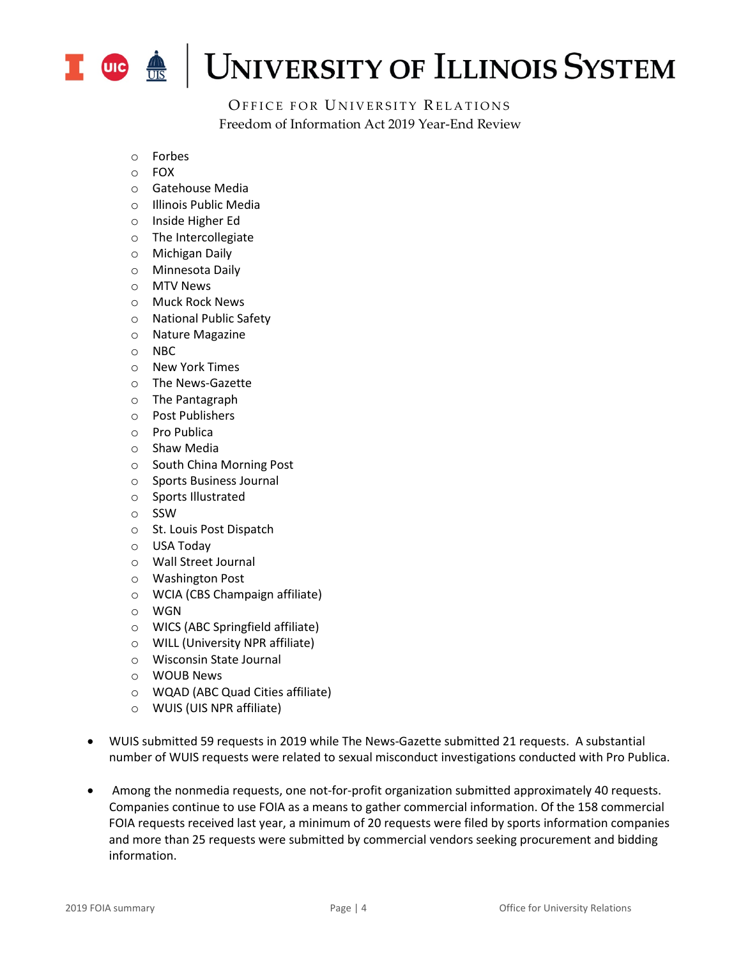

OFFICE FOR UNIVERSITY RELATIONS Freedom of Information Act 2019 Year-End Review

- o Forbes
- o FOX
- o Gatehouse Media
- o Illinois Public Media
- o Inside Higher Ed
- o The Intercollegiate
- o Michigan Daily
- o Minnesota Daily
- o MTV News
- o Muck Rock News
- o National Public Safety
- o Nature Magazine
- o NBC
- o New York Times
- o The News-Gazette
- o The Pantagraph
- o Post Publishers
- o Pro Publica
- o Shaw Media
- o South China Morning Post
- o Sports Business Journal
- o Sports Illustrated
- o SSW
- o St. Louis Post Dispatch
- o USA Today
- o Wall Street Journal
- o Washington Post
- o WCIA (CBS Champaign affiliate)
- o WGN
- o WICS (ABC Springfield affiliate)
- o WILL (University NPR affiliate)
- o Wisconsin State Journal
- o WOUB News
- o WQAD (ABC Quad Cities affiliate)
- o WUIS (UIS NPR affiliate)
- WUIS submitted 59 requests in 2019 while The News-Gazette submitted 21 requests. A substantial number of WUIS requests were related to sexual misconduct investigations conducted with Pro Publica.
- Among the nonmedia requests, one not-for-profit organization submitted approximately 40 requests. Companies continue to use FOIA as a means to gather commercial information. Of the 158 commercial FOIA requests received last year, a minimum of 20 requests were filed by sports information companies and more than 25 requests were submitted by commercial vendors seeking procurement and bidding information.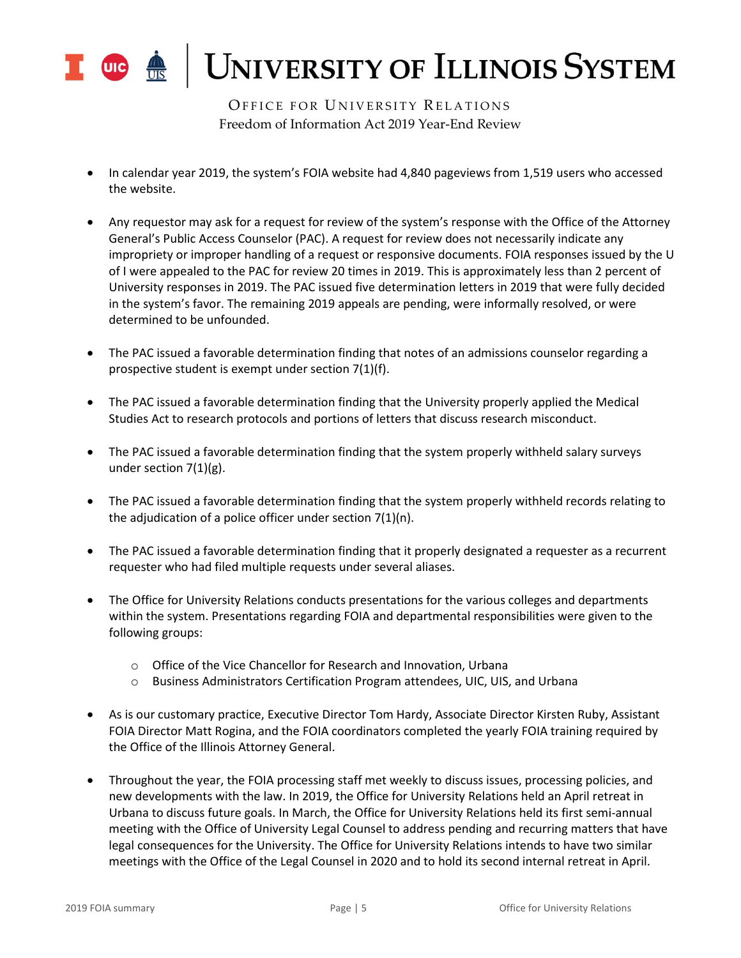

OFFICE FOR UNIVERSITY RELATIONS Freedom of Information Act 2019 Year-End Review

- In calendar year 2019, the system's FOIA website had 4,840 pageviews from 1,519 users who accessed the website.
- Any requestor may ask for a request for review of the system's response with the Office of the Attorney General's Public Access Counselor (PAC). A request for review does not necessarily indicate any impropriety or improper handling of a request or responsive documents. FOIA responses issued by the U of I were appealed to the PAC for review 20 times in 2019. This is approximately less than 2 percent of University responses in 2019. The PAC issued five determination letters in 2019 that were fully decided in the system's favor. The remaining 2019 appeals are pending, were informally resolved, or were determined to be unfounded.
- The PAC issued a favorable determination finding that notes of an admissions counselor regarding a prospective student is exempt under section 7(1)(f).
- The PAC issued a favorable determination finding that the University properly applied the Medical Studies Act to research protocols and portions of letters that discuss research misconduct.
- The PAC issued a favorable determination finding that the system properly withheld salary surveys under section 7(1)(g).
- The PAC issued a favorable determination finding that the system properly withheld records relating to the adjudication of a police officer under section 7(1)(n).
- The PAC issued a favorable determination finding that it properly designated a requester as a recurrent requester who had filed multiple requests under several aliases.
- The Office for University Relations conducts presentations for the various colleges and departments within the system. Presentations regarding FOIA and departmental responsibilities were given to the following groups:
	- o Office of the Vice Chancellor for Research and Innovation, Urbana
	- o Business Administrators Certification Program attendees, UIC, UIS, and Urbana
- As is our customary practice, Executive Director Tom Hardy, Associate Director Kirsten Ruby, Assistant FOIA Director Matt Rogina, and the FOIA coordinators completed the yearly FOIA training required by the Office of the Illinois Attorney General.
- Throughout the year, the FOIA processing staff met weekly to discuss issues, processing policies, and new developments with the law. In 2019, the Office for University Relations held an April retreat in Urbana to discuss future goals. In March, the Office for University Relations held its first semi-annual meeting with the Office of University Legal Counsel to address pending and recurring matters that have legal consequences for the University. The Office for University Relations intends to have two similar meetings with the Office of the Legal Counsel in 2020 and to hold its second internal retreat in April.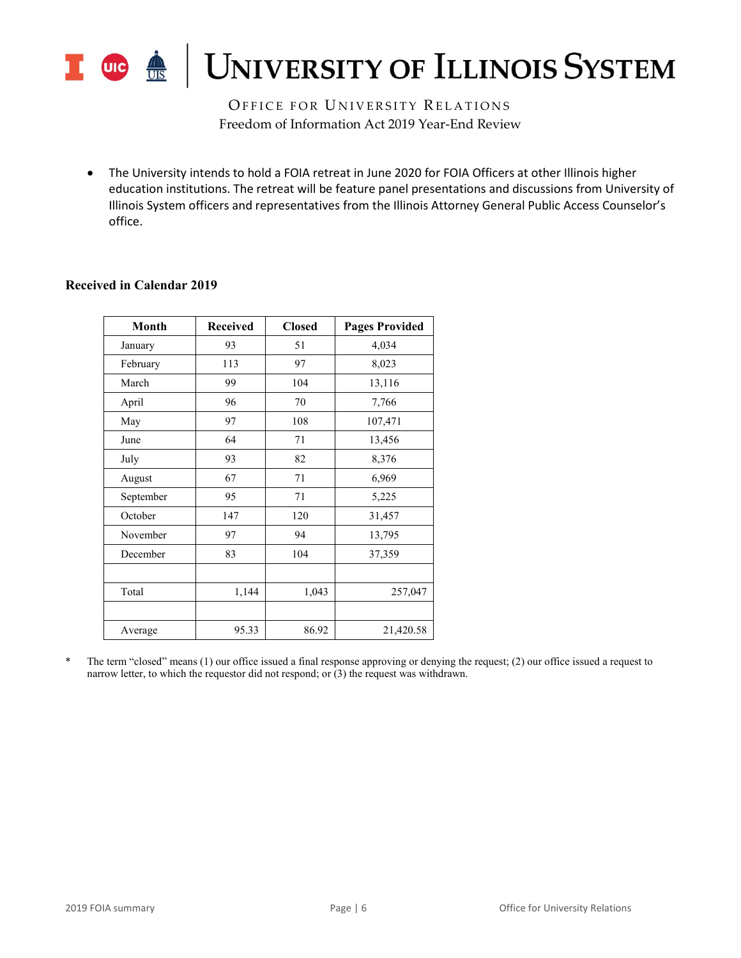

OFFICE FOR UNIVERSITY RELATIONS Freedom of Information Act 2019 Year-End Review

• The University intends to hold a FOIA retreat in June 2020 for FOIA Officers at other Illinois higher education institutions. The retreat will be feature panel presentations and discussions from University of Illinois System officers and representatives from the Illinois Attorney General Public Access Counselor's office.

| Month     | <b>Received</b> | <b>Closed</b> | <b>Pages Provided</b> |  |  |
|-----------|-----------------|---------------|-----------------------|--|--|
| January   | 93              | 51            | 4,034                 |  |  |
| February  | 113             | 97            | 8,023                 |  |  |
| March     | 99              | 104           | 13,116                |  |  |
| April     | 96              | 70            | 7,766                 |  |  |
| May       | 97              | 108           | 107,471               |  |  |
| June      | 64              | 71            | 13,456                |  |  |
| July      | 93              | 82            | 8,376                 |  |  |
| August    | 67              | 71            | 6,969                 |  |  |
| September | 95              | 71            | 5,225                 |  |  |
| October   | 147             | 120           | 31,457                |  |  |
| November  | 97              | 94            | 13,795                |  |  |
| December  | 83              | 104           | 37,359                |  |  |
|           |                 |               |                       |  |  |
| Total     | 1,144           | 1,043         | 257,047               |  |  |
|           |                 |               |                       |  |  |
| Average   | 95.33           | 86.92         | 21,420.58             |  |  |

#### **Received in Calendar 2019**

\* The term "closed" means (1) our office issued a final response approving or denying the request; (2) our office issued a request to narrow letter, to which the requestor did not respond; or (3) the request was withdrawn.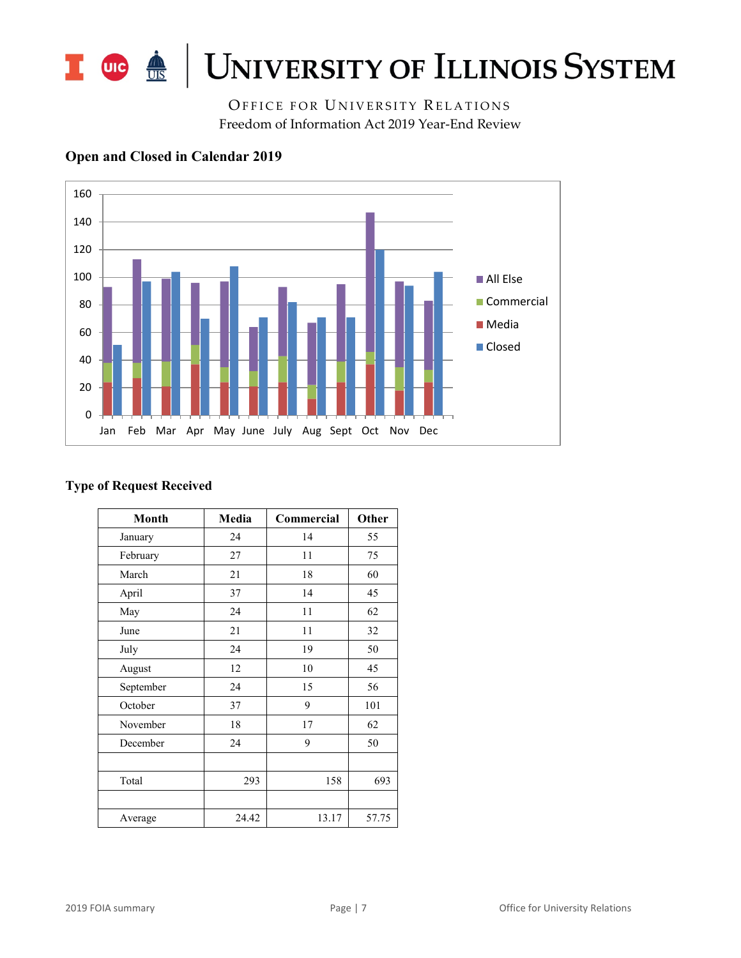

OFFICE FOR UNIVERSITY RELATIONS Freedom of Information Act 2019 Year-End Review



### **Open and Closed in Calendar 2019**

### **Type of Request Received**

| Month     | Media | Commercial | Other |
|-----------|-------|------------|-------|
| January   | 24    | 14         | 55    |
| February  | 27    | 11         | 75    |
| March     | 21    | 18         | 60    |
| April     | 37    | 14         | 45    |
| May       | 24    | 11         | 62    |
| June      | 21    | 11         | 32    |
| July      | 24    | 19         | 50    |
| August    | 12    | 10         | 45    |
| September | 24    | 15         | 56    |
| October   | 37    | 9          | 101   |
| November  | 18    | 17         | 62    |
| December  | 24    | 9          | 50    |
|           |       |            |       |
| Total     | 293   | 158        | 693   |
|           |       |            |       |
| Average   | 24.42 | 13.17      | 57.75 |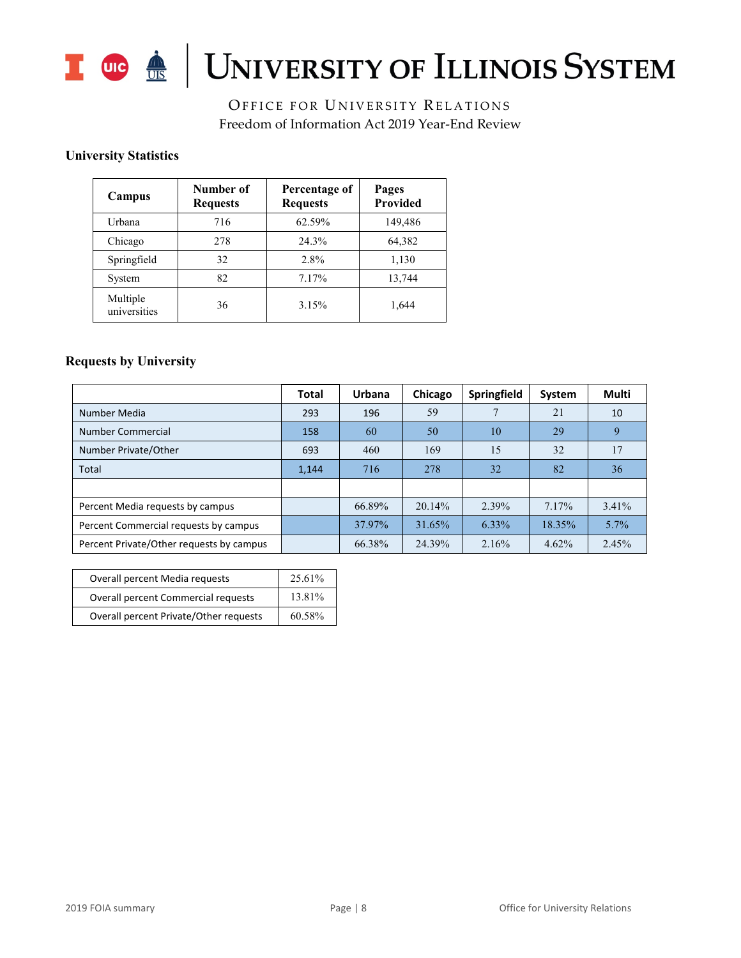

# I OG <u>A</u> UNIVERSITY OF ILLINOIS SYSTEM

OFFICE FOR UNIVERSITY RELATIONS Freedom of Information Act 2019 Year-End Review

### **University Statistics**

| Campus                   | Number of<br><b>Requests</b> | Percentage of<br><b>Requests</b> | Pages<br>Provided |
|--------------------------|------------------------------|----------------------------------|-------------------|
| Urbana                   | 716                          | 62.59%                           | 149,486           |
| Chicago                  | 278                          | 24.3%                            | 64,382            |
| Springfield              | 32                           | 2.8%                             | 1,130             |
| System                   | 82                           | 7.17%                            | 13,744            |
| Multiple<br>universities | 36                           | 3.15%                            | 1,644             |

#### **Requests by University**

|                                          | Total | Urbana | Chicago | Springfield | System   | Multi    |
|------------------------------------------|-------|--------|---------|-------------|----------|----------|
| Number Media                             | 293   | 196    | 59      |             | 21       | 10       |
| Number Commercial                        | 158   | 60     | 50      | 10          | 29       | 9        |
| Number Private/Other                     | 693   | 460    | 169     | 15          | 32       | 17       |
| Total                                    | 1,144 | 716    | 278     | 32          | 82       | 36       |
|                                          |       |        |         |             |          |          |
| Percent Media requests by campus         |       | 66.89% | 20.14%  | 2.39%       | 7.17%    | $3.41\%$ |
| Percent Commercial requests by campus    |       | 37.97% | 31.65%  | 6.33%       | 18.35%   | $5.7\%$  |
| Percent Private/Other requests by campus |       | 66.38% | 24.39%  | 2.16%       | $4.62\%$ | 2.45%    |

| Overall percent Media requests         | 25.61% |
|----------------------------------------|--------|
| Overall percent Commercial requests    | 13.81% |
| Overall percent Private/Other requests | 60.58% |